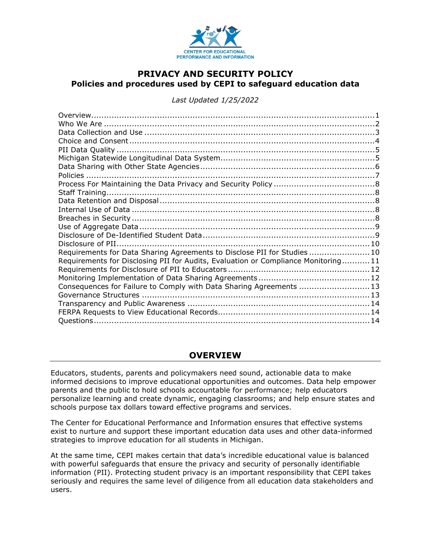

### **PRIVACY AND SECURITY POLICY Policies and procedures used by CEPI to safeguard education data**

*Last Updated 1/25/2022*

| Requirements for Data Sharing Agreements to Disclose PII for Studies10            |  |
|-----------------------------------------------------------------------------------|--|
| Requirements for Disclosing PII for Audits, Evaluation or Compliance Monitoring11 |  |
|                                                                                   |  |
|                                                                                   |  |
| Consequences for Failure to Comply with Data Sharing Agreements  13               |  |
|                                                                                   |  |
|                                                                                   |  |
|                                                                                   |  |
|                                                                                   |  |
|                                                                                   |  |

### **OVERVIEW**

<span id="page-0-0"></span>Educators, students, parents and policymakers need sound, actionable data to make informed decisions to improve educational opportunities and outcomes. Data help empower parents and the public to hold schools accountable for performance; help educators personalize learning and create dynamic, engaging classrooms; and help ensure states and schools purpose tax dollars toward effective programs and services.

The Center for Educational Performance and Information ensures that effective systems exist to nurture and support these important education data uses and other data-informed strategies to improve education for all students in Michigan.

At the same time, CEPI makes certain that data's incredible educational value is balanced with powerful safeguards that ensure the privacy and security of personally identifiable information (PII). Protecting student privacy is an important responsibility that CEPI takes seriously and requires the same level of diligence from all education data stakeholders and users.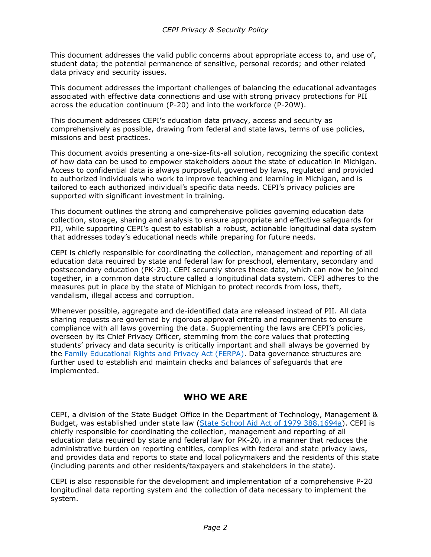This document addresses the valid public concerns about appropriate access to, and use of, student data; the potential permanence of sensitive, personal records; and other related data privacy and security issues.

This document addresses the important challenges of balancing the educational advantages associated with effective data connections and use with strong privacy protections for PII across the education continuum (P-20) and into the workforce (P-20W).

This document addresses CEPI's education data privacy, access and security as comprehensively as possible, drawing from federal and state laws, terms of use policies, missions and best practices.

This document avoids presenting a one-size-fits-all solution, recognizing the specific context of how data can be used to empower stakeholders about the state of education in Michigan. Access to confidential data is always purposeful, governed by laws, regulated and provided to authorized individuals who work to improve teaching and learning in Michigan, and is tailored to each authorized individual's specific data needs. CEPI's privacy policies are supported with significant investment in training.

This document outlines the strong and comprehensive policies governing education data collection, storage, sharing and analysis to ensure appropriate and effective safeguards for PII, while supporting CEPI's quest to establish a robust, actionable longitudinal data system that addresses today's educational needs while preparing for future needs.

CEPI is chiefly responsible for coordinating the collection, management and reporting of all education data required by state and federal law for preschool, elementary, secondary and postsecondary education (PK-20). CEPI securely stores these data, which can now be joined together, in a common data structure called a longitudinal data system. CEPI adheres to the measures put in place by the state of Michigan to protect records from loss, theft, vandalism, illegal access and corruption.

Whenever possible, aggregate and de-identified data are released instead of PII. All data sharing requests are governed by rigorous approval criteria and requirements to ensure compliance with all laws governing the data. Supplementing the laws are CEPI's policies, overseen by its Chief Privacy Officer, stemming from the core values that protecting students' privacy and data security is critically important and shall always be governed by the [Family Educational Rights and Privacy Act \(FERPA\).](https://www.ecfr.gov/current/title-34/part-99) Data governance structures are further used to establish and maintain checks and balances of safeguards that are implemented.

### **WHO WE ARE**

<span id="page-1-0"></span>CEPI, a division of the State Budget Office in the Department of Technology, Management & Budget, was established under state law (State [School Aid Act of 1979 388.1694a\)](https://www.legislature.mi.gov/(S(2brjop55bgmlhd553qsa3j45))/mileg.aspx?page=getObject&objectName=mcl-388-1694a). CEPI is chiefly responsible for coordinating the collection, management and reporting of all education data required by state and federal law for PK-20, in a manner that reduces the administrative burden on reporting entities, complies with federal and state privacy laws, and provides data and reports to state and local policymakers and the residents of this state (including parents and other residents/taxpayers and stakeholders in the state).

CEPI is also responsible for the development and implementation of a comprehensive P-20 longitudinal data reporting system and the collection of data necessary to implement the system.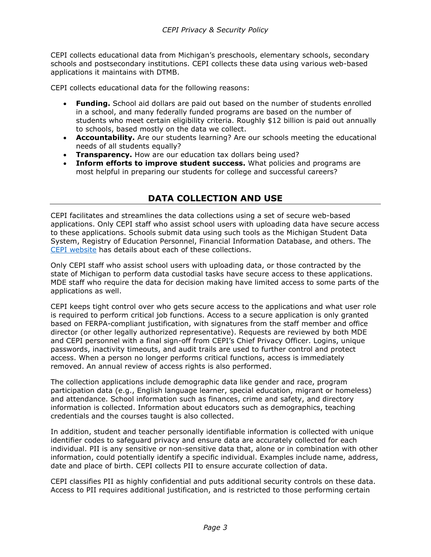CEPI collects educational data from Michigan's preschools, elementary schools, secondary schools and postsecondary institutions. CEPI collects these data using various web-based applications it maintains with DTMB.

CEPI collects educational data for the following reasons:

- **Funding.** School aid dollars are paid out based on the number of students enrolled in a school, and many federally funded programs are based on the number of students who meet certain eligibility criteria. Roughly \$12 billion is paid out annually to schools, based mostly on the data we collect.
- **Accountability.** Are our students learning? Are our schools meeting the educational needs of all students equally?
- **Transparency.** How are our education tax dollars being used?
- <span id="page-2-0"></span>• **Inform efforts to improve student success.** What policies and programs are most helpful in preparing our students for college and successful careers?

## **DATA COLLECTION AND USE**

CEPI facilitates and streamlines the data collections using a set of secure web-based applications. Only CEPI staff who assist school users with uploading data have secure access to these applications. Schools submit data using such tools as the Michigan Student Data System, Registry of Education Personnel, Financial Information Database, and others. The [CEPI website](https://www.michigan.gov/cepi/) has details about each of these collections.

Only CEPI staff who assist school users with uploading data, or those contracted by the state of Michigan to perform data custodial tasks have secure access to these applications. MDE staff who require the data for decision making have limited access to some parts of the applications as well.

CEPI keeps tight control over who gets secure access to the applications and what user role is required to perform critical job functions. Access to a secure application is only granted based on FERPA-compliant justification, with signatures from the staff member and office director (or other legally authorized representative). Requests are reviewed by both MDE and CEPI personnel with a final sign-off from CEPI's Chief Privacy Officer. Logins, unique passwords, inactivity timeouts, and audit trails are used to further control and protect access. When a person no longer performs critical functions, access is immediately removed. An annual review of access rights is also performed.

The collection applications include demographic data like gender and race, program participation data (e.g., English language learner, special education, migrant or homeless) and attendance. School information such as finances, crime and safety, and directory information is collected. Information about educators such as demographics, teaching credentials and the courses taught is also collected.

In addition, student and teacher personally identifiable information is collected with unique identifier codes to safeguard privacy and ensure data are accurately collected for each individual. PII is any sensitive or non-sensitive data that, alone or in combination with other information, could potentially identify a specific individual. Examples include name, address, date and place of birth. CEPI collects PII to ensure accurate collection of data.

CEPI classifies PII as highly confidential and puts additional security controls on these data. Access to PII requires additional justification, and is restricted to those performing certain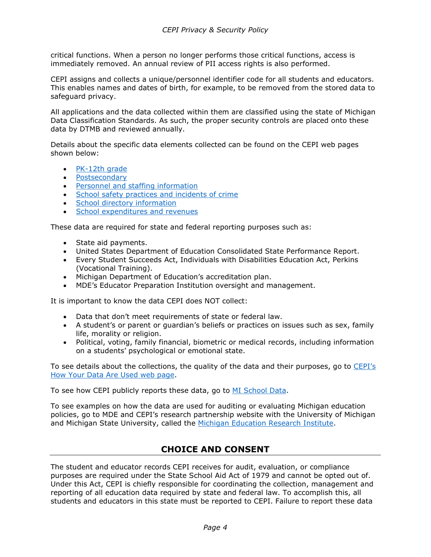critical functions. When a person no longer performs those critical functions, access is immediately removed. An annual review of PII access rights is also performed.

CEPI assigns and collects a unique/personnel identifier code for all students and educators. This enables names and dates of birth, for example, to be removed from the stored data to safeguard privacy.

All applications and the data collected within them are classified using the state of Michigan Data Classification Standards. As such, the proper security controls are placed onto these data by DTMB and reviewed annually.

Details about the specific data elements collected can be found on the CEPI web pages shown below:

- [PK-12th grade](https://www.michigan.gov/cepi/pk-12/msds)
- [Postsecondary](https://www.michigan.gov/cepi/ihe)
- [Personnel and staffing information](https://www.michigan.gov/cepi/pk-12/rep)
- [School safety practices and incidents of crime](https://www.michigan.gov/cepi/pk-12/sid)
- [School directory information](https://www.michigan.gov/cepi/pk-12/eem)
- [School expenditures and revenues](https://www.michigan.gov/cepi/pk-12/fid)

These data are required for state and federal reporting purposes such as:

- State aid payments.
- United States Department of Education Consolidated State Performance Report.
- Every Student Succeeds Act, Individuals with Disabilities Education Act, Perkins (Vocational Training).
- Michigan Department of Education's accreditation plan.
- MDE's Educator Preparation Institution oversight and management.

It is important to know the data CEPI does NOT collect:

- Data that don't meet requirements of state or federal law.
- A student's or parent or guardian's beliefs or practices on issues such as sex, family life, morality or religion.
- Political, voting, family financial, biometric or medical records, including information on a students' psychological or emotional state.

To see details about the collections, the quality of the data and their purposes, go to CEPI's [How Your Data Are Used web page.](https://www.michigan.gov/cepi/data-use)

To see how CEPI publicly reports these data, go to [MI School Data.](https://www.mischooldata.org/DistrictSchoolProfiles/ReportCard/EducationDashboard.aspx)

To see examples on how the data are used for auditing or evaluating Michigan education policies, go to MDE and CEPI's research partnership website with the University of Michigan and Michigan State University, called the [Michigan Education Research Institute.](https://miedresearch.org/)

### **CHOICE AND CONSENT**

<span id="page-3-0"></span>The student and educator records CEPI receives for audit, evaluation, or compliance purposes are required under the State School Aid Act of 1979 and cannot be opted out of. Under this Act, CEPI is chiefly responsible for coordinating the collection, management and reporting of all education data required by state and federal law. To accomplish this, all students and educators in this state must be reported to CEPI. Failure to report these data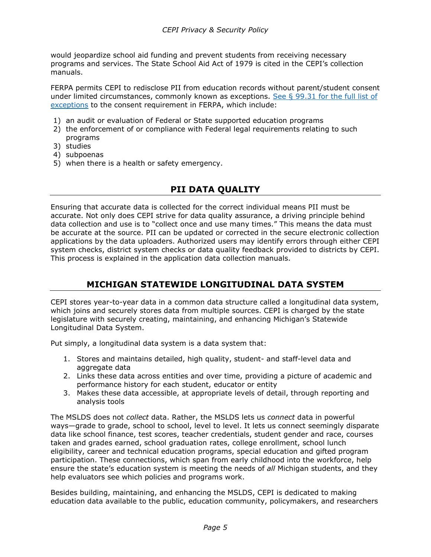would jeopardize school aid funding and prevent students from receiving necessary programs and services. The State School Aid Act of 1979 is cited in the CEPI's collection manuals.

FERPA permits CEPI to redisclose PII from education records without parent/student consent under limited circumstances, commonly known as exceptions. See  $\S$  99.31 for the full list of [exceptions](https://www.ecfr.gov/current/title-34/part-99) to the consent requirement in FERPA, which include:

- 1) an audit or evaluation of Federal or State supported education programs
- 2) the enforcement of or compliance with Federal legal requirements relating to such programs
- 3) studies
- 4) subpoenas
- <span id="page-4-0"></span>5) when there is a health or safety emergency.

### **PII DATA QUALITY**

Ensuring that accurate data is collected for the correct individual means PII must be accurate. Not only does CEPI strive for data quality assurance, a driving principle behind data collection and use is to "collect once and use many times." This means the data must be accurate at the source. PII can be updated or corrected in the secure electronic collection applications by the data uploaders. Authorized users may identify errors through either CEPI system checks, district system checks or data quality feedback provided to districts by CEPI. This process is explained in the application data collection manuals.

## **MICHIGAN STATEWIDE LONGITUDINAL DATA SYSTEM**

<span id="page-4-1"></span>CEPI stores year-to-year data in a common data structure called a longitudinal data system, which joins and securely stores data from multiple sources. CEPI is charged by the state legislature with securely creating, maintaining, and enhancing Michigan's Statewide Longitudinal Data System.

Put simply, a longitudinal data system is a data system that:

- 1. Stores and maintains detailed, high quality, student- and staff-level data and aggregate data
- 2. Links these data across entities and over time, providing a picture of academic and performance history for each student, educator or entity
- 3. Makes these data accessible, at appropriate levels of detail, through reporting and analysis tools

The MSLDS does not *collect* data. Rather, the MSLDS lets us *connect* data in powerful ways—grade to grade, school to school, level to level. It lets us connect seemingly disparate data like school finance, test scores, teacher credentials, student gender and race, courses taken and grades earned, school graduation rates, college enrollment, school lunch eligibility, career and technical education programs, special education and gifted program participation. These connections, which span from early childhood into the workforce, help ensure the state's education system is meeting the needs of *all* Michigan students, and they help evaluators see which policies and programs work.

Besides building, maintaining, and enhancing the MSLDS, CEPI is dedicated to making education data available to the public, education community, policymakers, and researchers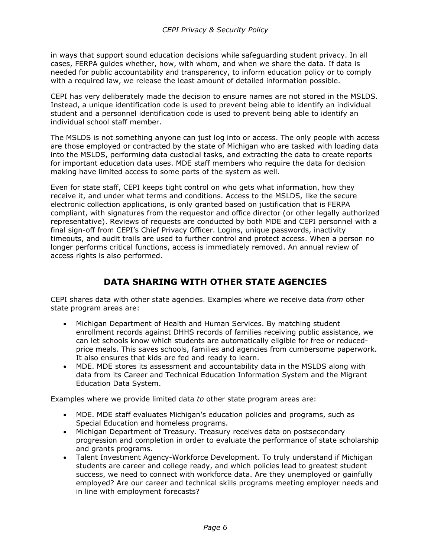in ways that support sound education decisions while safeguarding student privacy. In all cases, FERPA guides whether, how, with whom, and when we share the data. If data is needed for public accountability and transparency, to inform education policy or to comply with a required law, we release the least amount of detailed information possible.

CEPI has very deliberately made the decision to ensure names are not stored in the MSLDS. Instead, a unique identification code is used to prevent being able to identify an individual student and a personnel identification code is used to prevent being able to identify an individual school staff member.

The MSLDS is not something anyone can just log into or access. The only people with access are those employed or contracted by the state of Michigan who are tasked with loading data into the MSLDS, performing data custodial tasks, and extracting the data to create reports for important education data uses. MDE staff members who require the data for decision making have limited access to some parts of the system as well.

Even for state staff, CEPI keeps tight control on who gets what information, how they receive it, and under what terms and conditions. Access to the MSLDS, like the secure electronic collection applications, is only granted based on justification that is FERPA compliant, with signatures from the requestor and office director (or other legally authorized representative). Reviews of requests are conducted by both MDE and CEPI personnel with a final sign-off from CEPI's Chief Privacy Officer. Logins, unique passwords, inactivity timeouts, and audit trails are used to further control and protect access. When a person no longer performs critical functions, access is immediately removed. An annual review of access rights is also performed.

# **DATA SHARING WITH OTHER STATE AGENCIES**

<span id="page-5-0"></span>CEPI shares data with other state agencies. Examples where we receive data *from* other state program areas are:

- Michigan Department of Health and Human Services. By matching student enrollment records against DHHS records of families receiving public assistance, we can let schools know which students are automatically eligible for free or reducedprice meals. This saves schools, families and agencies from cumbersome paperwork. It also ensures that kids are fed and ready to learn.
- MDE. MDE stores its assessment and accountability data in the MSLDS along with data from its Career and Technical Education Information System and the Migrant Education Data System.

Examples where we provide limited data *to* other state program areas are:

- MDE. MDE staff evaluates Michigan's education policies and programs, such as Special Education and homeless programs.
- Michigan Department of Treasury. Treasury receives data on postsecondary progression and completion in order to evaluate the performance of state scholarship and grants programs.
- Talent Investment Agency-Workforce Development. To truly understand if Michigan students are career and college ready, and which policies lead to greatest student success, we need to connect with workforce data. Are they unemployed or gainfully employed? Are our career and technical skills programs meeting employer needs and in line with employment forecasts?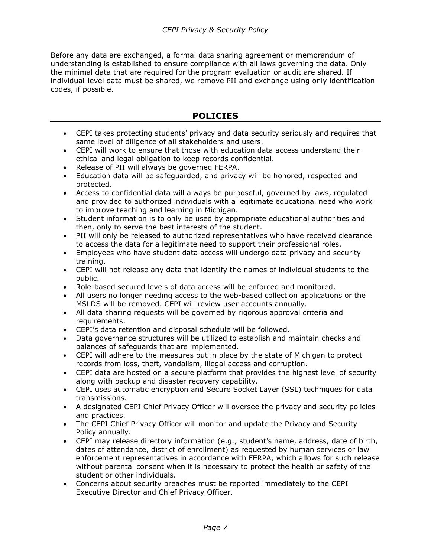Before any data are exchanged, a formal data sharing agreement or memorandum of understanding is established to ensure compliance with all laws governing the data. Only the minimal data that are required for the program evaluation or audit are shared. If individual-level data must be shared, we remove PII and exchange using only identification codes, if possible.

### **POLICIES**

- <span id="page-6-0"></span>• CEPI takes protecting students' privacy and data security seriously and requires that same level of diligence of all stakeholders and users.
- CEPI will work to ensure that those with education data access understand their ethical and legal obligation to keep records confidential.
- Release of PII will always be governed FERPA.
- Education data will be safeguarded, and privacy will be honored, respected and protected.
- Access to confidential data will always be purposeful, governed by laws, regulated and provided to authorized individuals with a legitimate educational need who work to improve teaching and learning in Michigan.
- Student information is to only be used by appropriate educational authorities and then, only to serve the best interests of the student.
- PII will only be released to authorized representatives who have received clearance to access the data for a legitimate need to support their professional roles.
- Employees who have student data access will undergo data privacy and security training.
- CEPI will not release any data that identify the names of individual students to the public.
- Role-based secured levels of data access will be enforced and monitored.
- All users no longer needing access to the web-based collection applications or the MSLDS will be removed. CEPI will review user accounts annually.
- All data sharing requests will be governed by rigorous approval criteria and requirements.
- CEPI's data retention and disposal schedule will be followed.
- Data governance structures will be utilized to establish and maintain checks and balances of safeguards that are implemented.
- CEPI will adhere to the measures put in place by the state of Michigan to protect records from loss, theft, vandalism, illegal access and corruption.
- CEPI data are hosted on a secure platform that provides the highest level of security along with backup and disaster recovery capability.
- CEPI uses automatic encryption and Secure Socket Layer (SSL) techniques for data transmissions.
- A designated CEPI Chief Privacy Officer will oversee the privacy and security policies and practices.
- The CEPI Chief Privacy Officer will monitor and update the Privacy and Security Policy annually.
- CEPI may release directory information (e.g., student's name, address, date of birth, dates of attendance, district of enrollment) as requested by human services or law enforcement representatives in accordance with FERPA, which allows for such release without parental consent when it is necessary to protect the health or safety of the student or other individuals.
- Concerns about security breaches must be reported immediately to the CEPI Executive Director and Chief Privacy Officer.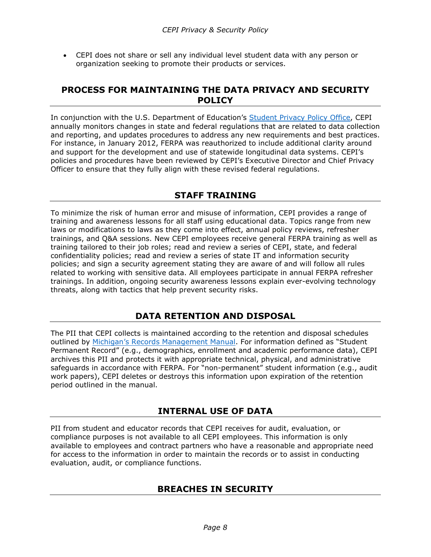• CEPI does not share or sell any individual level student data with any person or organization seeking to promote their products or services.

### <span id="page-7-0"></span>**PROCESS FOR MAINTAINING THE DATA PRIVACY AND SECURITY POLICY**

In conjunction with the U.S. Department of Education's [Student Privacy Policy Office,](https://studentprivacy.ed.gov/) CEPI annually monitors changes in state and federal regulations that are related to data collection and reporting, and updates procedures to address any new requirements and best practices. For instance, in January 2012, FERPA was reauthorized to include additional clarity around and support for the development and use of statewide longitudinal data systems. CEPI's policies and procedures have been reviewed by CEPI's Executive Director and Chief Privacy Officer to ensure that they fully align with these revised federal regulations.

## **STAFF TRAINING**

<span id="page-7-1"></span>To minimize the risk of human error and misuse of information, CEPI provides a range of training and awareness lessons for all staff using educational data. Topics range from new laws or modifications to laws as they come into effect, annual policy reviews, refresher trainings, and Q&A sessions. New CEPI employees receive general FERPA training as well as training tailored to their job roles; read and review a series of CEPI, state, and federal confidentiality policies; read and review a series of state IT and information security policies; and sign a security agreement stating they are aware of and will follow all rules related to working with sensitive data. All employees participate in annual FERPA refresher trainings. In addition, ongoing security awareness lessons explain ever-evolving technology threats, along with tactics that help prevent security risks.

## **DATA RETENTION AND DISPOSAL**

<span id="page-7-2"></span>The PII that CEPI collects is maintained according to the retention and disposal schedules outlined by [Michigan's Records Management Manual.](https://www.michigan.gov/documents/hal_mhc_rms_Local_RM_Manual_116243_7.pdf) For information defined as "Student Permanent Record" (e.g., demographics, enrollment and academic performance data), CEPI archives this PII and protects it with appropriate technical, physical, and administrative safeguards in accordance with FERPA. For "non-permanent" student information (e.g., audit work papers), CEPI deletes or destroys this information upon expiration of the retention period outlined in the manual.

## **INTERNAL USE OF DATA**

<span id="page-7-4"></span><span id="page-7-3"></span>PII from student and educator records that CEPI receives for audit, evaluation, or compliance purposes is not available to all CEPI employees. This information is only available to employees and contract partners who have a reasonable and appropriate need for access to the information in order to maintain the records or to assist in conducting evaluation, audit, or compliance functions.

## **BREACHES IN SECURITY**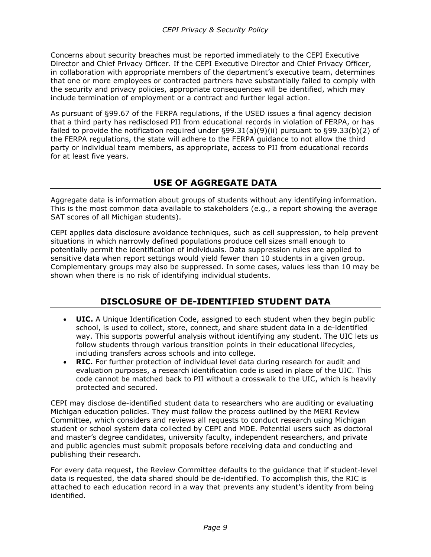Concerns about security breaches must be reported immediately to the CEPI Executive Director and Chief Privacy Officer. If the CEPI Executive Director and Chief Privacy Officer, in collaboration with appropriate members of the department's executive team, determines that one or more employees or contracted partners have substantially failed to comply with the security and privacy policies, appropriate consequences will be identified, which may include termination of employment or a contract and further legal action.

As pursuant of §99.67 of the FERPA regulations, if the USED issues a final agency decision that a third party has redisclosed PII from educational records in violation of FERPA, or has failed to provide the notification required under §99.31(a)(9)(ii) pursuant to §99.33(b)(2) of the FERPA regulations, the state will adhere to the FERPA guidance to not allow the third party or individual team members, as appropriate, access to PII from educational records for at least five years.

# **USE OF AGGREGATE DATA**

<span id="page-8-0"></span>Aggregate data is information about groups of students without any identifying information. This is the most common data available to stakeholders (e.g., a report showing the average SAT scores of all Michigan students).

CEPI applies data disclosure avoidance techniques, such as cell suppression, to help prevent situations in which narrowly defined populations produce cell sizes small enough to potentially permit the identification of individuals. Data suppression rules are applied to sensitive data when report settings would yield fewer than 10 students in a given group. Complementary groups may also be suppressed. In some cases, values less than 10 may be shown when there is no risk of identifying individual students.

## **DISCLOSURE OF DE-IDENTIFIED STUDENT DATA**

- <span id="page-8-1"></span>• **UIC.** A Unique Identification Code, assigned to each student when they begin public school, is used to collect, store, connect, and share student data in a de-identified way. This supports powerful analysis without identifying any student. The UIC lets us follow students through various transition points in their educational lifecycles, including transfers across schools and into college.
- **RIC.** For further protection of individual level data during research for audit and evaluation purposes, a research identification code is used in place of the UIC. This code cannot be matched back to PII without a crosswalk to the UIC, which is heavily protected and secured.

CEPI may disclose de-identified student data to researchers who are auditing or evaluating Michigan education policies. They must follow the process outlined by the MERI Review Committee, which considers and reviews all requests to conduct research using Michigan student or school system data collected by CEPI and MDE. Potential users such as doctoral and master's degree candidates, university faculty, independent researchers, and private and public agencies must submit proposals before receiving data and conducting and publishing their research.

For every data request, the Review Committee defaults to the guidance that if student-level data is requested, the data shared should be de-identified. To accomplish this, the RIC is attached to each education record in a way that prevents any student's identity from being identified.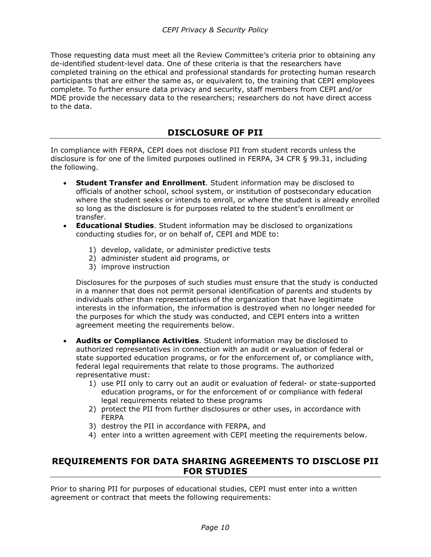Those requesting data must meet all the Review Committee's criteria prior to obtaining any de-identified student-level data. One of these criteria is that the researchers have completed training on the ethical and professional standards for protecting human research participants that are either the same as, or equivalent to, the training that CEPI employees complete. To further ensure data privacy and security, staff members from CEPI and/or MDE provide the necessary data to the researchers; researchers do not have direct access to the data.

### **DISCLOSURE OF PII**

<span id="page-9-0"></span>In compliance with FERPA, CEPI does not disclose PII from student records unless the disclosure is for one of the limited purposes outlined in FERPA, 34 CFR § 99.31, including the following.

- **Student Transfer and Enrollment**. Student information may be disclosed to officials of another school, school system, or institution of postsecondary education where the student seeks or intends to enroll, or where the student is already enrolled so long as the disclosure is for purposes related to the student's enrollment or transfer.
- **Educational Studies**. Student information may be disclosed to organizations conducting studies for, or on behalf of, CEPI and MDE to:
	- 1) develop, validate, or administer predictive tests
	- 2) administer student aid programs, or
	- 3) improve instruction

Disclosures for the purposes of such studies must ensure that the study is conducted in a manner that does not permit personal identification of parents and students by individuals other than representatives of the organization that have legitimate interests in the information, the information is destroyed when no longer needed for the purposes for which the study was conducted, and CEPI enters into a written agreement meeting the requirements below.

- **Audits or Compliance Activities**. Student information may be disclosed to authorized representatives in connection with an audit or evaluation of federal or state supported education programs, or for the enforcement of, or compliance with, federal legal requirements that relate to those programs. The authorized representative must:
	- 1) use PII only to carry out an audit or evaluation of federal- or state-supported education programs, or for the enforcement of or compliance with federal legal requirements related to these programs
	- 2) protect the PII from further disclosures or other uses, in accordance with FERPA
	- 3) destroy the PII in accordance with FERPA, and
	- 4) enter into a written agreement with CEPI meeting the requirements below.

### <span id="page-9-1"></span>**REQUIREMENTS FOR DATA SHARING AGREEMENTS TO DISCLOSE PII FOR STUDIES**

Prior to sharing PII for purposes of educational studies, CEPI must enter into a written agreement or contract that meets the following requirements: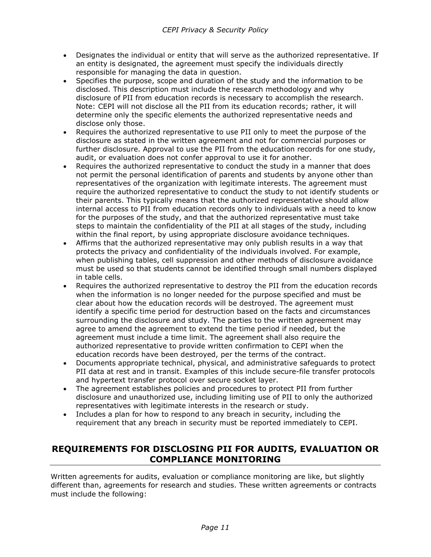- Designates the individual or entity that will serve as the authorized representative. If an entity is designated, the agreement must specify the individuals directly responsible for managing the data in question.
- Specifies the purpose, scope and duration of the study and the information to be disclosed. This description must include the research methodology and why disclosure of PII from education records is necessary to accomplish the research. Note: CEPI will not disclose all the PII from its education records; rather, it will determine only the specific elements the authorized representative needs and disclose only those.
- Requires the authorized representative to use PII only to meet the purpose of the disclosure as stated in the written agreement and not for commercial purposes or further disclosure. Approval to use the PII from the education records for one study, audit, or evaluation does not confer approval to use it for another.
- Requires the authorized representative to conduct the study in a manner that does not permit the personal identification of parents and students by anyone other than representatives of the organization with legitimate interests. The agreement must require the authorized representative to conduct the study to not identify students or their parents. This typically means that the authorized representative should allow internal access to PII from education records only to individuals with a need to know for the purposes of the study, and that the authorized representative must take steps to maintain the confidentiality of the PII at all stages of the study, including within the final report, by using appropriate disclosure avoidance techniques.
- Affirms that the authorized representative may only publish results in a way that protects the privacy and confidentiality of the individuals involved. For example, when publishing tables, cell suppression and other methods of disclosure avoidance must be used so that students cannot be identified through small numbers displayed in table cells.
- Requires the authorized representative to destroy the PII from the education records when the information is no longer needed for the purpose specified and must be clear about how the education records will be destroyed. The agreement must identify a specific time period for destruction based on the facts and circumstances surrounding the disclosure and study. The parties to the written agreement may agree to amend the agreement to extend the time period if needed, but the agreement must include a time limit. The agreement shall also require the authorized representative to provide written confirmation to CEPI when the education records have been destroyed, per the terms of the contract.
- Documents appropriate technical, physical, and administrative safeguards to protect PII data at rest and in transit. Examples of this include secure-file transfer protocols and hypertext transfer protocol over secure socket layer.
- The agreement establishes policies and procedures to protect PII from further disclosure and unauthorized use, including limiting use of PII to only the authorized representatives with legitimate interests in the research or study.
- Includes a plan for how to respond to any breach in security, including the requirement that any breach in security must be reported immediately to CEPI.

## <span id="page-10-0"></span>**REQUIREMENTS FOR DISCLOSING PII FOR AUDITS, EVALUATION OR COMPLIANCE MONITORING**

Written agreements for audits, evaluation or compliance monitoring are like, but slightly different than, agreements for research and studies. These written agreements or contracts must include the following: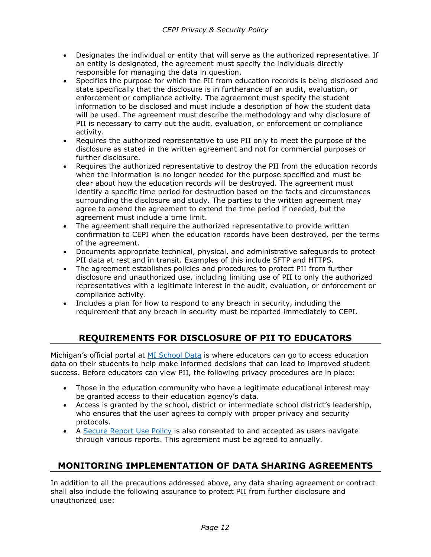- Designates the individual or entity that will serve as the authorized representative. If an entity is designated, the agreement must specify the individuals directly responsible for managing the data in question.
- Specifies the purpose for which the PII from education records is being disclosed and state specifically that the disclosure is in furtherance of an audit, evaluation, or enforcement or compliance activity. The agreement must specify the student information to be disclosed and must include a description of how the student data will be used. The agreement must describe the methodology and why disclosure of PII is necessary to carry out the audit, evaluation, or enforcement or compliance activity.
- Requires the authorized representative to use PII only to meet the purpose of the disclosure as stated in the written agreement and not for commercial purposes or further disclosure.
- Requires the authorized representative to destroy the PII from the education records when the information is no longer needed for the purpose specified and must be clear about how the education records will be destroyed. The agreement must identify a specific time period for destruction based on the facts and circumstances surrounding the disclosure and study. The parties to the written agreement may agree to amend the agreement to extend the time period if needed, but the agreement must include a time limit.
- The agreement shall require the authorized representative to provide written confirmation to CEPI when the education records have been destroyed, per the terms of the agreement.
- Documents appropriate technical, physical, and administrative safeguards to protect PII data at rest and in transit. Examples of this include SFTP and HTTPS.
- The agreement establishes policies and procedures to protect PII from further disclosure and unauthorized use, including limiting use of PII to only the authorized representatives with a legitimate interest in the audit, evaluation, or enforcement or compliance activity.
- <span id="page-11-0"></span>• Includes a plan for how to respond to any breach in security, including the requirement that any breach in security must be reported immediately to CEPI.

# **REQUIREMENTS FOR DISCLOSURE OF PII TO EDUCATORS**

Michigan's official portal at [MI School Data](https://www.mischooldata.org/) is where educators can go to access education data on their students to help make informed decisions that can lead to improved student success. Before educators can view PII, the following privacy procedures are in place:

- Those in the education community who have a legitimate educational interest may be granted access to their education agency's data.
- Access is granted by the school, district or intermediate school district's leadership, who ensures that the user agrees to comply with proper privacy and security protocols.
- A [Secure Report Use Policy](https://www.michigan.gov/-/media/Project/Websites/cepi/Secure-Report-Use-Policies.pdf) is also consented to and accepted as users navigate through various reports. This agreement must be agreed to annually.

## <span id="page-11-1"></span>**MONITORING IMPLEMENTATION OF DATA SHARING AGREEMENTS**

In addition to all the precautions addressed above, any data sharing agreement or contract shall also include the following assurance to protect PII from further disclosure and unauthorized use: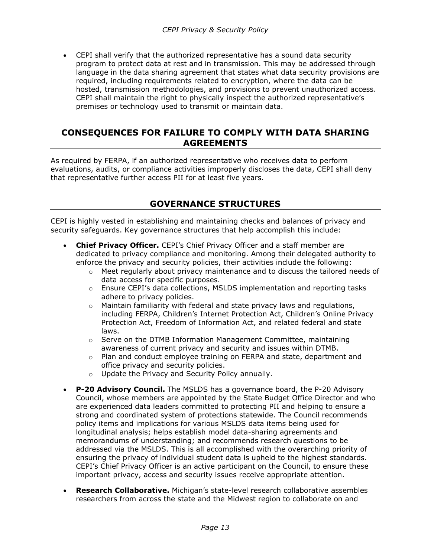• CEPI shall verify that the authorized representative has a sound data security program to protect data at rest and in transmission. This may be addressed through language in the data sharing agreement that states what data security provisions are required, including requirements related to encryption, where the data can be hosted, transmission methodologies, and provisions to prevent unauthorized access. CEPI shall maintain the right to physically inspect the authorized representative's premises or technology used to transmit or maintain data.

### <span id="page-12-0"></span>**CONSEQUENCES FOR FAILURE TO COMPLY WITH DATA SHARING AGREEMENTS**

As required by FERPA, if an authorized representative who receives data to perform evaluations, audits, or compliance activities improperly discloses the data, CEPI shall deny that representative further access PII for at least five years.

### **GOVERNANCE STRUCTURES**

<span id="page-12-1"></span>CEPI is highly vested in establishing and maintaining checks and balances of privacy and security safeguards. Key governance structures that help accomplish this include:

- **Chief Privacy Officer.** CEPI's Chief Privacy Officer and a staff member are dedicated to privacy compliance and monitoring. Among their delegated authority to enforce the privacy and security policies, their activities include the following:
	- $\circ$  Meet regularly about privacy maintenance and to discuss the tailored needs of data access for specific purposes.
	- o Ensure CEPI's data collections, MSLDS implementation and reporting tasks adhere to privacy policies.
	- $\circ$  Maintain familiarity with federal and state privacy laws and regulations, including FERPA, Children's Internet Protection Act, Children's Online Privacy Protection Act, Freedom of Information Act, and related federal and state laws.
	- $\circ$  Serve on the DTMB Information Management Committee, maintaining awareness of current privacy and security and issues within DTMB.
	- $\circ$  Plan and conduct employee training on FERPA and state, department and office privacy and security policies.
	- o Update the Privacy and Security Policy annually.
- **P-20 Advisory Council.** The MSLDS has a governance board, the P-20 Advisory Council, whose members are appointed by the State Budget Office Director and who are experienced data leaders committed to protecting PII and helping to ensure a strong and coordinated system of protections statewide. The Council recommends policy items and implications for various MSLDS data items being used for longitudinal analysis; helps establish model data-sharing agreements and memorandums of understanding; and recommends research questions to be addressed via the MSLDS. This is all accomplished with the overarching priority of ensuring the privacy of individual student data is upheld to the highest standards. CEPI's Chief Privacy Officer is an active participant on the Council, to ensure these important privacy, access and security issues receive appropriate attention.
- **Research Collaborative.** Michigan's state-level research collaborative assembles researchers from across the state and the Midwest region to collaborate on and